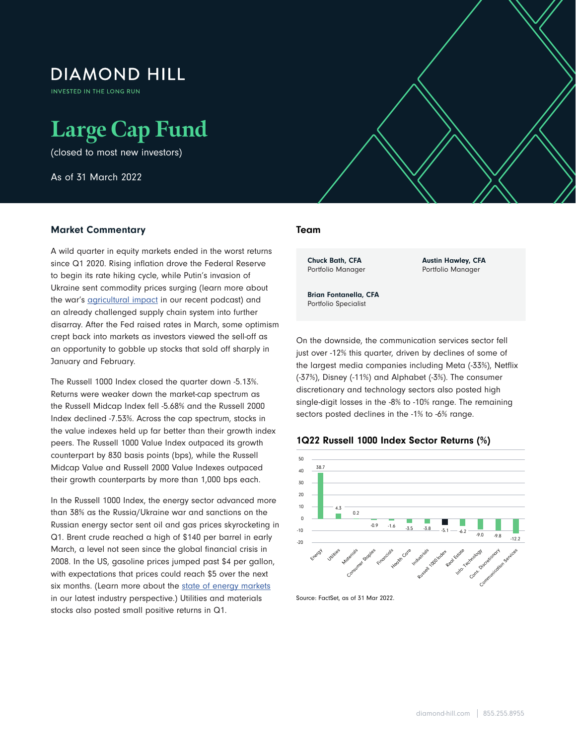# **DIAMOND HILL**

**INVESTED IN THE LONG RUN** 

# **Large Cap Fund**

(closed to most new investors)

As of 31 March 2022

## Market Commentary

A wild quarter in equity markets ended in the worst returns since Q1 2020. Rising inflation drove the Federal Reserve to begin its rate hiking cycle, while Putin's invasion of Ukraine sent commodity prices surging (learn more about the war's **agricultural impact** in our recent podcast) and an already challenged supply chain system into further disarray. After the Fed raised rates in March, some optimism crept back into markets as investors viewed the sell-off as an opportunity to gobble up stocks that sold off sharply in January and February.

The Russell 1000 Index closed the quarter down -5.13%. Returns were weaker down the market-cap spectrum as the Russell Midcap Index fell -5.68% and the Russell 2000 Index declined -7.53%. Across the cap spectrum, stocks in the value indexes held up far better than their growth index peers. The Russell 1000 Value Index outpaced its growth counterpart by 830 basis points (bps), while the Russell Midcap Value and Russell 2000 Value Indexes outpaced their growth counterparts by more than 1,000 bps each.

In the Russell 1000 Index, the energy sector advanced more than 38% as the Russia/Ukraine war and sanctions on the Russian energy sector sent oil and gas prices skyrocketing in Q1. Brent crude reached a high of \$140 per barrel in early March, a level not seen since the global financial crisis in 2008. In the US, gasoline prices jumped past \$4 per gallon, with expectations that prices could reach \$5 over the next six months. (Learn more about the [state of energy markets](https://www.diamond-hill.com/insights/a-400/geopolitics-the-state-of-energy-markets-today.fs) in our latest industry perspective.) Utilities and materials stocks also posted small positive returns in Q1.

## Team

 $\mathcal{L}$  as of 31 March 2022  $\mathcal{L}$  as of 31 March 2022  $\mathcal{L}$ 

Chuck Bath, CFA Portfolio Manager Austin Hawley, CFA Portfolio Manager

Brian Fontanella, CFA Portfolio Specialist

On the downside, the communication services sector fell just over -12% this quarter, driven by declines of some of the largest media companies including Meta (-33%), Netflix (-37%), Disney (-11%) and Alphabet (-3%). The consumer discretionary and technology sectors also posted high single-digit losses in the -8% to -10% range. The remaining sectors posted declines in the -1% to -6% range.



1Q22 Russell 1000 Index Sector Returns (%)

Source: FactSet, as of 31 Mar 2022.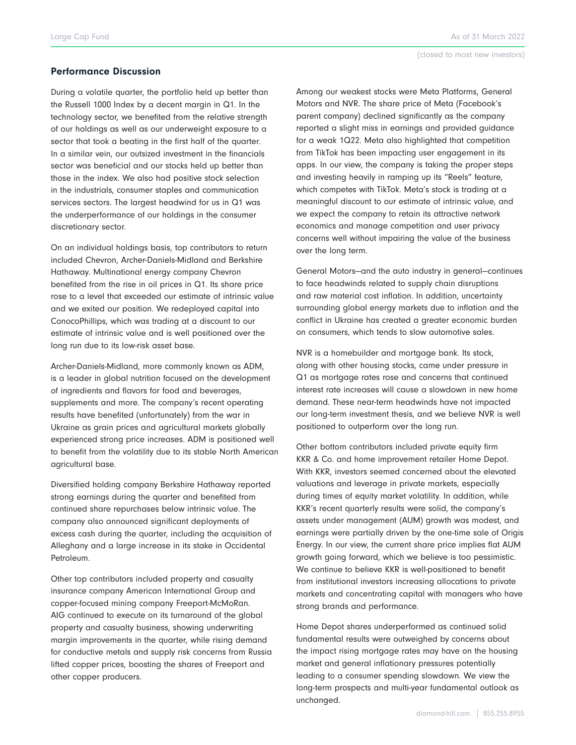#### Performance Discussion

During a volatile quarter, the portfolio held up better than the Russell 1000 Index by a decent margin in Q1. In the technology sector, we benefited from the relative strength of our holdings as well as our underweight exposure to a sector that took a beating in the first half of the quarter. In a similar vein, our outsized investment in the financials sector was beneficial and our stocks held up better than those in the index. We also had positive stock selection in the industrials, consumer staples and communication services sectors. The largest headwind for us in Q1 was the underperformance of our holdings in the consumer discretionary sector.

On an individual holdings basis, top contributors to return included Chevron, Archer-Daniels-Midland and Berkshire Hathaway. Multinational energy company Chevron benefited from the rise in oil prices in Q1. Its share price rose to a level that exceeded our estimate of intrinsic value and we exited our position. We redeployed capital into ConocoPhillips, which was trading at a discount to our estimate of intrinsic value and is well positioned over the long run due to its low-risk asset base.

Archer-Daniels-Midland, more commonly known as ADM, is a leader in global nutrition focused on the development of ingredients and flavors for food and beverages, supplements and more. The company's recent operating results have benefited (unfortunately) from the war in Ukraine as grain prices and agricultural markets globally experienced strong price increases. ADM is positioned well to benefit from the volatility due to its stable North American agricultural base.

Diversified holding company Berkshire Hathaway reported strong earnings during the quarter and benefited from continued share repurchases below intrinsic value. The company also announced significant deployments of excess cash during the quarter, including the acquisition of Alleghany and a large increase in its stake in Occidental Petroleum.

Other top contributors included property and casualty insurance company American International Group and copper-focused mining company Freeport-McMoRan. AIG continued to execute on its turnaround of the global property and casualty business, showing underwriting margin improvements in the quarter, while rising demand for conductive metals and supply risk concerns from Russia lifted copper prices, boosting the shares of Freeport and other copper producers.

Among our weakest stocks were Meta Platforms, General Motors and NVR. The share price of Meta (Facebook's parent company) declined significantly as the company reported a slight miss in earnings and provided guidance for a weak 1Q22. Meta also highlighted that competition from TikTok has been impacting user engagement in its apps. In our view, the company is taking the proper steps and investing heavily in ramping up its "Reels" feature, which competes with TikTok. Meta's stock is trading at a meaningful discount to our estimate of intrinsic value, and we expect the company to retain its attractive network economics and manage competition and user privacy concerns well without impairing the value of the business over the long term.

General Motors—and the auto industry in general—continues to face headwinds related to supply chain disruptions and raw material cost inflation. In addition, uncertainty surrounding global energy markets due to inflation and the conflict in Ukraine has created a greater economic burden on consumers, which tends to slow automotive sales.

NVR is a homebuilder and mortgage bank. Its stock, along with other housing stocks, came under pressure in Q1 as mortgage rates rose and concerns that continued interest rate increases will cause a slowdown in new home demand. These near-term headwinds have not impacted our long-term investment thesis, and we believe NVR is well positioned to outperform over the long run.

Other bottom contributors included private equity firm KKR & Co. and home improvement retailer Home Depot. With KKR, investors seemed concerned about the elevated valuations and leverage in private markets, especially during times of equity market volatility. In addition, while KKR's recent quarterly results were solid, the company's assets under management (AUM) growth was modest, and earnings were partially driven by the one-time sale of Origis Energy. In our view, the current share price implies flat AUM growth going forward, which we believe is too pessimistic. We continue to believe KKR is well-positioned to benefit from institutional investors increasing allocations to private markets and concentrating capital with managers who have strong brands and performance.

Home Depot shares underperformed as continued solid fundamental results were outweighed by concerns about the impact rising mortgage rates may have on the housing market and general inflationary pressures potentially leading to a consumer spending slowdown. We view the long-term prospects and multi-year fundamental outlook as unchanged.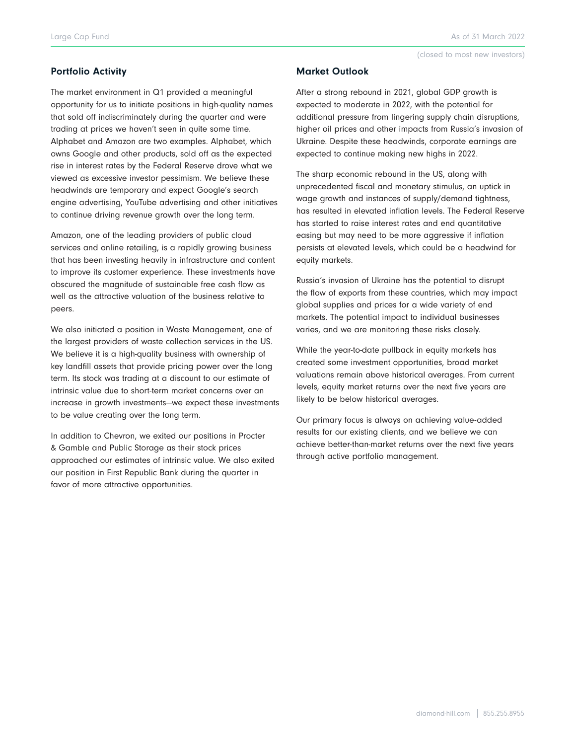#### (closed to most new investors)

## Portfolio Activity

The market environment in Q1 provided a meaningful opportunity for us to initiate positions in high-quality names that sold off indiscriminately during the quarter and were trading at prices we haven't seen in quite some time. Alphabet and Amazon are two examples. Alphabet, which owns Google and other products, sold off as the expected rise in interest rates by the Federal Reserve drove what we viewed as excessive investor pessimism. We believe these headwinds are temporary and expect Google's search engine advertising, YouTube advertising and other initiatives to continue driving revenue growth over the long term.

Amazon, one of the leading providers of public cloud services and online retailing, is a rapidly growing business that has been investing heavily in infrastructure and content to improve its customer experience. These investments have obscured the magnitude of sustainable free cash flow as well as the attractive valuation of the business relative to peers.

We also initiated a position in Waste Management, one of the largest providers of waste collection services in the US. We believe it is a high-quality business with ownership of key landfill assets that provide pricing power over the long term. Its stock was trading at a discount to our estimate of intrinsic value due to short-term market concerns over an increase in growth investments—we expect these investments to be value creating over the long term.

In addition to Chevron, we exited our positions in Procter & Gamble and Public Storage as their stock prices approached our estimates of intrinsic value. We also exited our position in First Republic Bank during the quarter in favor of more attractive opportunities.

#### Market Outlook

After a strong rebound in 2021, global GDP growth is expected to moderate in 2022, with the potential for additional pressure from lingering supply chain disruptions, higher oil prices and other impacts from Russia's invasion of Ukraine. Despite these headwinds, corporate earnings are expected to continue making new highs in 2022.

The sharp economic rebound in the US, along with unprecedented fiscal and monetary stimulus, an uptick in wage growth and instances of supply/demand tightness, has resulted in elevated inflation levels. The Federal Reserve has started to raise interest rates and end quantitative easing but may need to be more aggressive if inflation persists at elevated levels, which could be a headwind for equity markets.

Russia's invasion of Ukraine has the potential to disrupt the flow of exports from these countries, which may impact global supplies and prices for a wide variety of end markets. The potential impact to individual businesses varies, and we are monitoring these risks closely.

While the year-to-date pullback in equity markets has created some investment opportunities, broad market valuations remain above historical averages. From current levels, equity market returns over the next five years are likely to be below historical averages.

Our primary focus is always on achieving value-added results for our existing clients, and we believe we can achieve better-than-market returns over the next five years through active portfolio management.